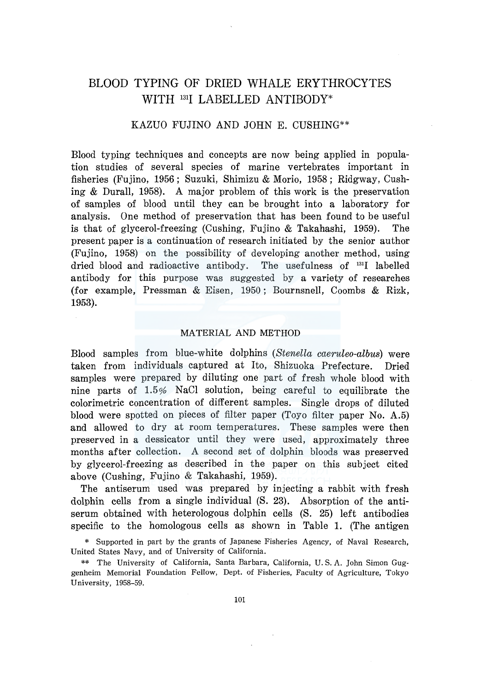# BLOOD TYPING OF DRIED WHALE ERYTHROCYTES WITH <sup>131</sup>I LABELLED ANTIBODY\*

## KAZUO FUJINO AND JOHN E. CUSHING\*\*

Blood typing techniques and concepts are now being applied in population studies of several species of marine vertebrates important in fisheries (Fujino, 1956 ; Suzuki, Shimizu & Morio, 1958 ; Ridgway, Cushing & Durall, 1958). A major problem of this work is the preservation of samples of blood until they can be brought into a laboratory for analysis. One method of preservation that has been found to be useful is that of glycerol-freezing (Cushing, Fujino & Takahashi, 1959). The present paper is a continuation of research initiated by the senior author (Fujino, 1958) on the possibility of developing another method, using dried blood and radioactive antibody. The usefulness of 131I labelled antibody for this purpose was suggested by a variety of researches (for example, Pressman & Eisen, 1950; Bournsnell, Coombs & Rizk, 1953).

## MATERIAL AND METHOD

Blood samples from blue-white dolphins *(Stenella caeruleo-albus)* were taken from individuals captured at Ito, Shizuoka Prefecture. Dried samples were prepared by diluting one part of fresh whole blood with nine parts of 1.5% NaCl solution, being careful to equilibrate the colorimetric concentration of different samples. Single drops of diluted blood were spotted on pieces of filter paper (Toyo filter paper No. A.5) and allowed to dry at room temperatures. These samples were then preserved in a dessicator until they were used, approximately three months after collection. A second set of dolphin bloods was preserved by glycerol-freezing as described in the paper on this subject cited above (Cushing, Fujino & Takahashi, 1959).

The antiserum used was prepared by injecting a rabbit with fresh dolphin cells from a single individual (S. 23). Absorption of the antiserum obtained with heterologous dolphin cells (S. 25) left antibodies specific to the homologous cells as shown in Table 1. (The antigen

<sup>\*</sup> Supported in part by the grants of Japanese Fisheries Agency, of Naval Research, United States Navy, and of University of California.

<sup>\*\*</sup> The University of California, Santa Barbara, California, U.S. A. John Simon Guggenheim Memorial Foundation Fellow, Dept. of Fisheries, Faculty of Agriculture, Tokyo University, 1958-59.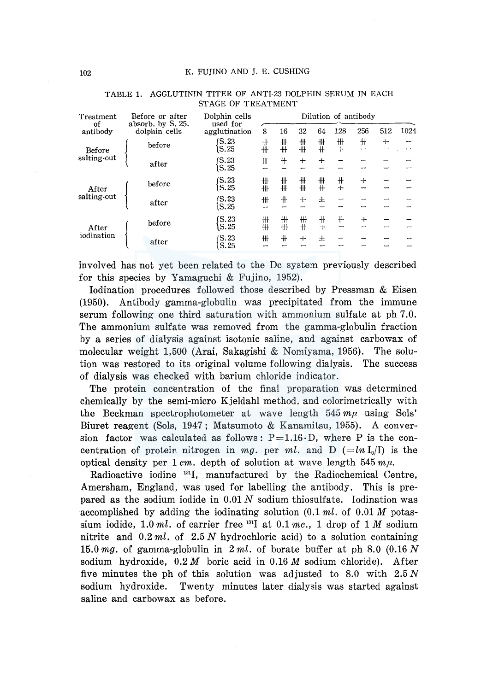| Treatment             | Before or after<br>absorb. by S. 25.<br>dolphin cells | Dolphin cells<br>used for<br>agglutination | Dilution of antibody |        |          |            |                          |        |     |      |
|-----------------------|-------------------------------------------------------|--------------------------------------------|----------------------|--------|----------|------------|--------------------------|--------|-----|------|
| оf<br>antibody        |                                                       |                                            | 8                    | 16     | 32       | 64         | 128                      | 256    | 512 | 1024 |
| Before<br>salting-out | before                                                | S.23<br>S.25                               | $+$<br>卌             | ╫<br>卅 | ₩<br>冊   | ₩<br>#     | ╫<br>$+$                 | ╫      | $+$ |      |
|                       | after                                                 | $\mathsf{S}.23$<br>S.25                    | ╫                    | $+$    | $+$      | $+$        |                          |        |     |      |
| After<br>salting-out  | before                                                | (S.23)<br>S.25                             | ╫<br>冊               | ╫<br>卌 | ╫<br>╫   | ╫<br>╫     | $^+$<br>$+$              | $+$    | --- |      |
|                       | after                                                 | IS.23<br>S.25                              | 卅                    | $+$    | $+$      | 士          | $\overline{\phantom{0}}$ |        |     |      |
| After<br>iodination   | before                                                | S.23<br>S.25                               | ╫<br>卌               | ╫<br>卌 | ╫<br>$+$ | $+$<br>$+$ | ╫                        | $^{+}$ |     |      |
|                       | after                                                 | (S.23)<br>S.25                             | 卅<br>--              | ╫      | $+$      | 王          | $\overline{\phantom{0}}$ |        |     |      |
|                       |                                                       |                                            |                      |        |          |            |                          |        |     |      |

#### TABLE 1. AGGLUTININ TITER OF ANTI-23 DOLPHIN SERUM IN EACH STAGE OF TREATMENT

involved has not yet been related to the De system previously described for this species by Yamaguchi & Fujino, 1952).

Iodination procedures followed those described by Pressman & Eisen (1950). Antibody gamma-globulin was precipitated from the immune serum following one third saturation with ammonium sulfate at ph 7.0. The ammonium sulfate was removed from the gamma-globulin fraction by a series of dialysis against isotonic saline, and against carbowax of molecular weight 1,500 (Arai, Sakagishi & Nomiyama, 1956). The solution was restored to its original volume following dialysis. The success of dialysis was checked with barium chloride indicator.

The protein concentration of the final preparation was determined chemically by the semi-micro Kjeldahl method, and colorimetrically with the Beckman spectrophotometer at wave length  $545 m\mu$  using Sols' Biuret reagent (Sols, 1947; Matsumoto & Kanamitsu, 1955). A conversion factor was calculated as follows:  $P=1.16 \cdot D$ , where P is the concentration of protein nitrogen in mg. per ml. and D ( $= ln I_0/I$ ) is the optical density per 1 cm. depth of solution at wave length 545  $m\mu$ .

Radioactive iodine 1311, manufactured by the Radiochemical Centre, Amersham, England, was used for labelling the antibody. This is prepared as the sodium iodide in  $0.01 N$  sodium thiosulfate. Iodination was accomplished by adding the iodinating solution (0.1 *ml.* of 0.01 M potassium iodide, 1.0 *ml.* of carrier free 1311 at 0.1 *me.,* 1 drop of 1 *M* sodium nitrite and 0.2 *ml.* of 2.5 *N* hydrochloric acid) to a solution containing 15.0 *mg.* of gamma-globulin in 2 *ml.* of borate buffer at ph 8.0 (0.16 *N*  sodium hydroxide, 0.2 *M* boric acid in 0.16 *M* sodium chloride). After five minutes the ph of this solution was adjusted to 8.0 with  $2.5 N$ sodium hydroxide. Twenty minutes later dialysis was started against saline and carbowax as before.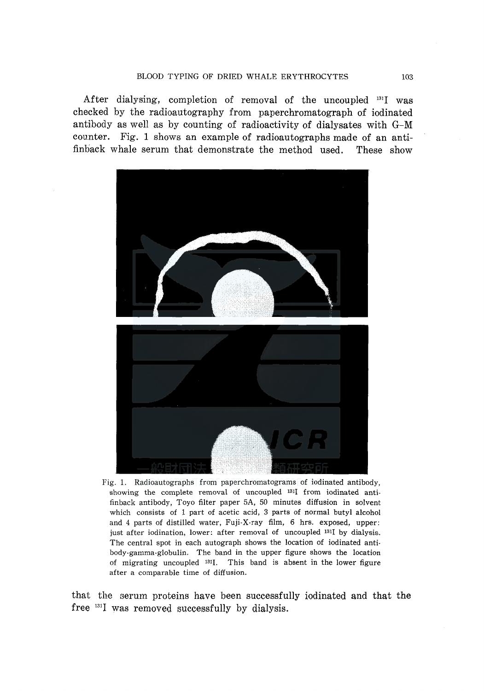After dialysing, completion of removal of the uncoupled <sup>131</sup>I was checked by the radioautography from paperchromatograph of iodinated antibody as well as by counting of radioactivity of dialysates with G-M counter. Fig. 1 shows an example of radioautographs made of an antifinback whale serum that demonstrate the method used. These show



Fig. 1. Radioautographs from paperchromatograms of iodinated antibody, showing the complete removal of uncoupled 1311 from iodinated antifinback antibody, Toyo filter paper 5A, 50 minutes diffusion in solvent which consists of 1 part of acetic acid, 3 parts of normal butyl alcohol and 4 parts of distilled water, Fuji-X-ray film, 6 hrs. exposed, upper: just after iodination, lower: after removal of uncoupled <sup>131</sup>I by dialysis. The central spot in each autograph shows the location of iodinated antibody-gamma-globulin. The band in the upper figure shows the location of migrating uncoupled 1311. This band is absent in the lower figure after a comparable time of diffusion.

that the serum proteins have been successfully iodinated and that the free  $^{131}I$  was removed successfully by dialysis.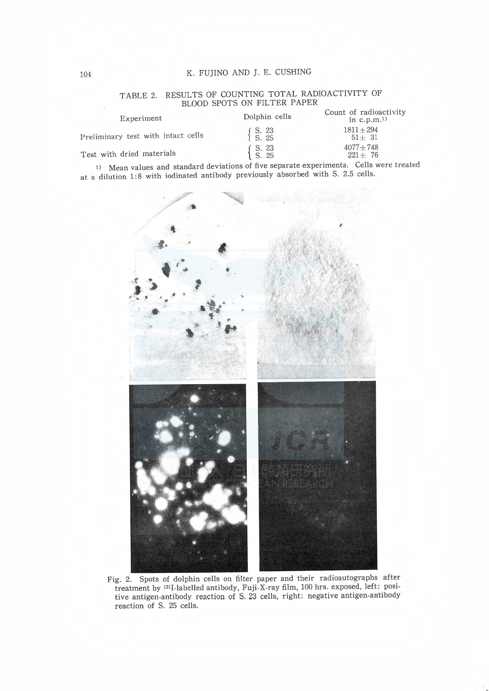#### K. FUJINO AND J. E. CUSHING

### TABLE 2. RESULTS OF COUNTING TOTAL RADIOACTIVITY OF BLOOD SPOTS ON FILTER PAPER

| Experiment                         | Dolphin cells                                                            | Count of radioactivity<br>in $c.p.m.1$ |  |  |  |
|------------------------------------|--------------------------------------------------------------------------|----------------------------------------|--|--|--|
| Preliminary test with intact cells | $\left\{\n \begin{array}{c}\n S. & 23 \\ S. & 25\n \end{array}\n\right.$ | $1811 + 294$<br>$51 + 31$              |  |  |  |
| Test with dried materials          | $\left\{\n \begin{array}{c}\n S. & 23 \\ S. & 25\n \end{array}\n\right.$ | $4077 + 748$<br>$221 \pm 76$           |  |  |  |

<sup>1)</sup> Mean values and standard deviations of five separate experiments. Cells were treated at a dilution 1:8 with iodinated antibody previously absorbed with S. 2.5 cells.



Fig. 2. Spots of dolphin cells on filter paper and their radioautographs after treatment by <sup>131</sup>I labelled antibody, Fuji X-ray film, 100 hrs. exposed, left: posi-<br>tive antigen antibody reaction of S. 23 cells, right: negative antigen antibody reaction of S. 25 cells.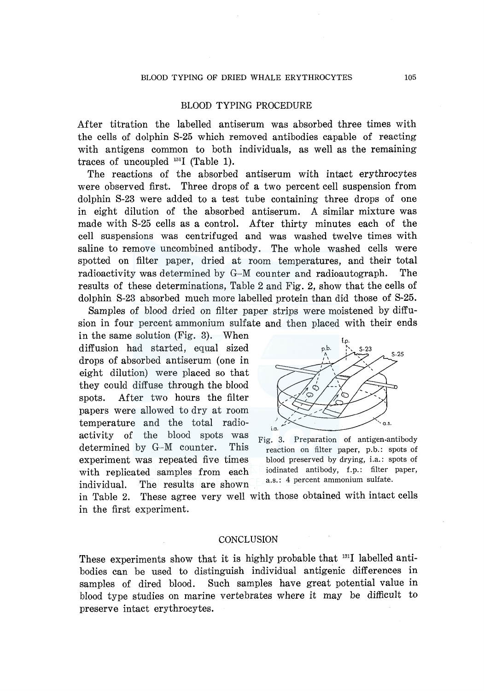## BLOOD TYPING PROCEDURE

After titration the labelled antiserum was absorbed three times with the cells of dolphin S-25 which removed antibodies capable of reacting with antigens common to both individuals, as well as the remaining traces of uncoupled  $^{131}I$  (Table 1).

The reactions of the absorbed antiserum with intact erythrocytes were observed first. Three drops of a two percent cell suspension from dolphin S-23 were added to a test tube containing three drops of one in eight dilution of the absorbed antiserum. A similar mixture was made with S-25 cells as a control. After thirty minutes each of the cell suspensions was centrifuged and was washed twelve times with saline to remove uncombined antibody. The whole washed cells were spotted on filter paper, dried at room temperatures, and their total radioactivity was determined by G-M counter and radioautograph. The results of these determinations, Table 2 and Fig. 2, show that the cells of dolphin S-23 absorbed much more labelled protein than did those of S-25.

Samples of blood dried on filter paper strips were moistened by diffusion in four percent ammonium sulfate and then placed with their ends

in the same solution (Fig. 3). When diffusion had started, equal sized drops of absorbed antiserum (one in eight dilution) were placed so that they could diffuse through the blood spots. After two hours the filter papers were allowed to dry at room temperature and the total radioactivity of the blood spots was determined by G-M counter. This experiment was repeated five times with replicated samples from each individual. The results are shown



Fig. 3. Preparation of antigen-antibody reaction on filter paper, p.b.: spots of blood preserved by drying, i.a.: spots of iodinated antibody, f.p.: filter paper, a.s.: 4 percent ammonium sulfate.

in Table 2. These agree very well with those obtained with intact cells in the first experiment.

#### **CONCLUSION**

These experiments show that it is highly probable that <sup>131</sup>I labelled antibodies can be used to distinguish individual antigenic differences in samples of dired blood. Such samples have great potential value in blood type studies on marine vertebrates where it may be difficult to preserve intact erythrocytes.